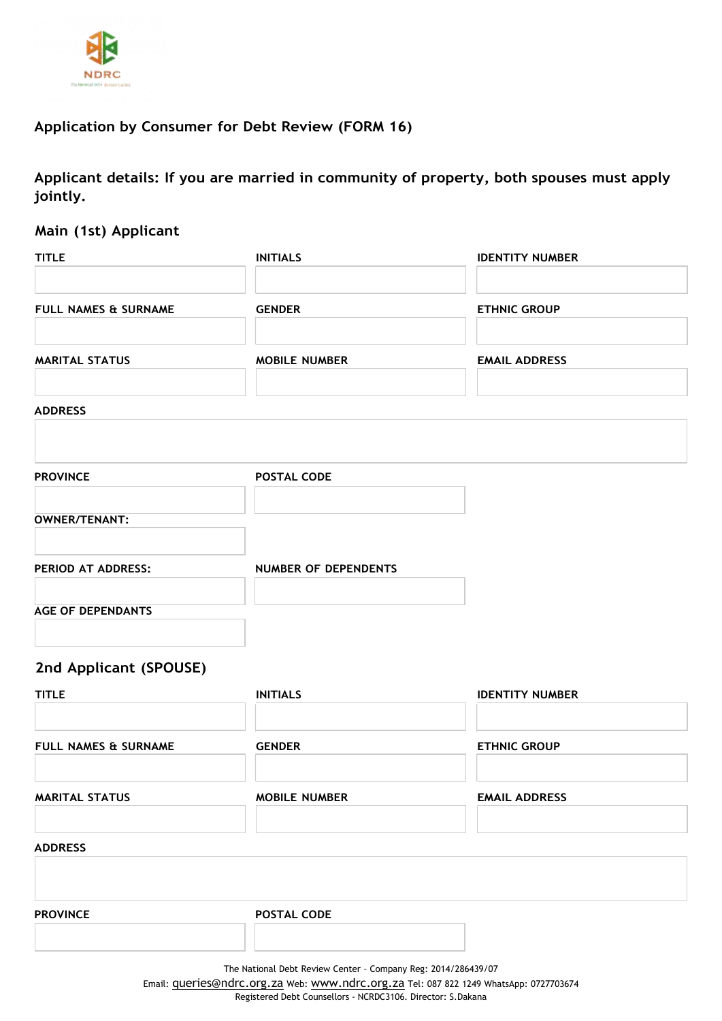

# **Application by Consumer for Debt Review (FORM 16)**

**Applicant details: If you are married in community of property, both spouses must apply jointly.**

## **Main (1st) Applicant**

| <b>TITLE</b>                    | <b>INITIALS</b>             | <b>IDENTITY NUMBER</b> |
|---------------------------------|-----------------------------|------------------------|
| <b>FULL NAMES &amp; SURNAME</b> | <b>GENDER</b>               | <b>ETHNIC GROUP</b>    |
| <b>MARITAL STATUS</b>           | <b>MOBILE NUMBER</b>        | <b>EMAIL ADDRESS</b>   |
| <b>ADDRESS</b>                  |                             |                        |
| <b>PROVINCE</b>                 | <b>POSTAL CODE</b>          |                        |
| <b>OWNER/TENANT:</b>            |                             |                        |
| PERIOD AT ADDRESS:              | <b>NUMBER OF DEPENDENTS</b> |                        |
| <b>AGE OF DEPENDANTS</b>        |                             |                        |
|                                 |                             |                        |

# **2nd Applicant (SPOUSE)**

| <b>TITLE</b>                    | <b>INITIALS</b>                                                                                                                                                                                                                                                                                       | <b>IDENTITY NUMBER</b> |  |
|---------------------------------|-------------------------------------------------------------------------------------------------------------------------------------------------------------------------------------------------------------------------------------------------------------------------------------------------------|------------------------|--|
| <b>FULL NAMES &amp; SURNAME</b> | <b>GENDER</b>                                                                                                                                                                                                                                                                                         | <b>ETHNIC GROUP</b>    |  |
| <b>MARITAL STATUS</b>           | <b>MOBILE NUMBER</b>                                                                                                                                                                                                                                                                                  | <b>EMAIL ADDRESS</b>   |  |
| <b>ADDRESS</b>                  |                                                                                                                                                                                                                                                                                                       |                        |  |
| <b>PROVINCE</b>                 | <b>POSTAL CODE</b>                                                                                                                                                                                                                                                                                    |                        |  |
|                                 | The National Debt Review Center - Company Reg: 2014/286439/07<br>$\blacksquare$ . The contract of the contract of the contract of the contract of the contract of the contract of the contract of the contract of the contract of the contract of the contract of the contract of the contract of the |                        |  |

Email: **[queries@ndrc.org.za](mailto:queries@ndrc.org.za)** Web: [www.ndrc.org.za](http://www.ndrc.org.za/) Tel: 087 822 1249 WhatsApp: 0727703674 Registered Debt Counsellors - NCRDC3106. Director: S.Dakana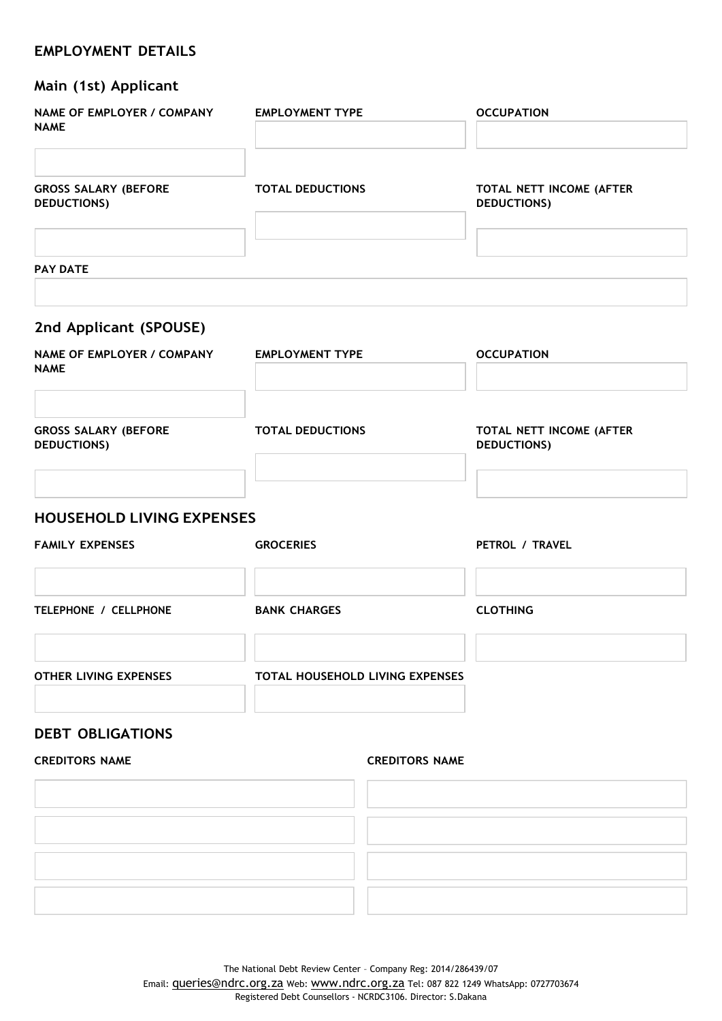## **EMPLOYMENT DETAILS**

| Main (1st) Applicant                              |                                 |                                                |
|---------------------------------------------------|---------------------------------|------------------------------------------------|
| NAME OF EMPLOYER / COMPANY<br><b>NAME</b>         | <b>EMPLOYMENT TYPE</b>          | <b>OCCUPATION</b>                              |
| <b>GROSS SALARY (BEFORE</b><br><b>DEDUCTIONS)</b> | <b>TOTAL DEDUCTIONS</b>         | TOTAL NETT INCOME (AFTER<br><b>DEDUCTIONS)</b> |
| <b>PAY DATE</b>                                   |                                 |                                                |
| 2nd Applicant (SPOUSE)                            |                                 |                                                |
| <b>NAME OF EMPLOYER / COMPANY</b><br><b>NAME</b>  | <b>EMPLOYMENT TYPE</b>          | <b>OCCUPATION</b>                              |
| <b>GROSS SALARY (BEFORE</b><br><b>DEDUCTIONS)</b> | <b>TOTAL DEDUCTIONS</b>         | TOTAL NETT INCOME (AFTER<br><b>DEDUCTIONS)</b> |
| <b>HOUSEHOLD LIVING EXPENSES</b>                  |                                 |                                                |
| <b>FAMILY EXPENSES</b>                            | <b>GROCERIES</b>                | PETROL / TRAVEL                                |
| TELEPHONE / CELLPHONE                             | <b>BANK CHARGES</b>             | <b>CLOTHING</b>                                |
| <b>OTHER LIVING EXPENSES</b>                      | TOTAL HOUSEHOLD LIVING EXPENSES |                                                |
| <b>DEBT OBLIGATIONS</b>                           |                                 |                                                |
| <b>CREDITORS NAME</b>                             | <b>CREDITORS NAME</b>           |                                                |
|                                                   |                                 |                                                |
|                                                   |                                 |                                                |
|                                                   |                                 |                                                |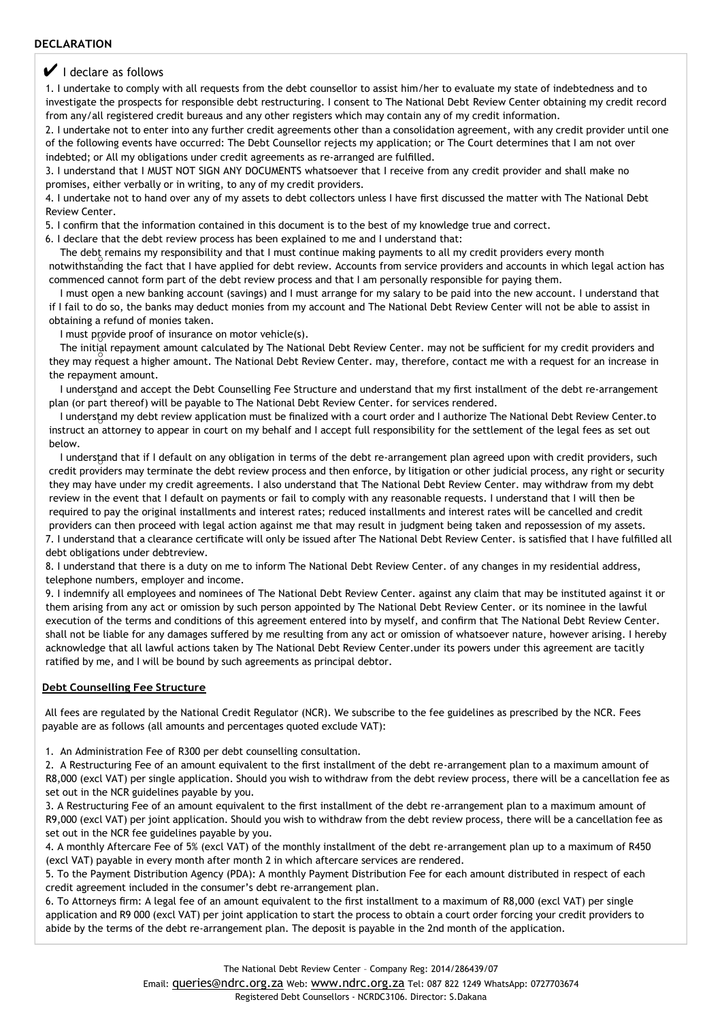### $\vee$  I declare as follows

1. I undertake to comply with all requests from the debt counsellor to assist him/her to evaluate my state of indebtedness and to investigate the prospects for responsible debt restructuring. I consent to The National Debt Review Center obtaining my credit record from any/all registered credit bureaus and any other registers which may contain any of my credit information.

2. I undertake not to enter into any further credit agreements other than a consolidation agreement, with any credit provider until one of the following events have occurred: The Debt Counsellor rejects my application; or The Court determines that I am not over indebted; or All my obligations under credit agreements as re-arranged are fulfilled.

3. I understand that I MUST NOT SIGN ANY DOCUMENTS whatsoever that I receive from any credit provider and shall make no promises, either verbally or in writing, to any of my credit providers.

4. I undertake not to hand over any of my assets to debt collectors unless I have first discussed the matter with The National Debt Review Center.

5. I confirm that the information contained in this document is to the best of my knowledge true and correct.

6. I declare that the debt review process has been explained to me and I understand that:

The debt remains my responsibility and that I must continue making payments to all my credit providers every month notwithstanding the fact that I have applied for debt review. Accounts from service providers and accounts in which legal action has

commenced cannot form part of the debt review process and that I am personally responsible for paying them. I must open a new banking account (savings) and I must arrange for my salary to be paid into the new account. I understand that if I fail to do so, the banks may deduct monies from my account and The National Debt Review Center will not be able to assist in

#### obtaining a refund of monies taken.

I must provide proof of insurance on motor vehicle(s).

The initial repayment amount calculated by The National Debt Review Center. may not be sufficient for my credit providers and they may request a higher amount. The National Debt Review Center. may, therefore, contact me with a request for an increase in the repayment amount.

I understand and accept the Debt Counselling Fee Structure and understand that my first installment of the debt re-arrangement plan (or part thereof) will be payable to The National Debt Review Center. for services rendered.

I understand my debt review application must be finalized with a court order and I authorize The National Debt Review Center.to instruct an attorney to appear in court on my behalf and I accept full responsibility for the settlement of the legal fees as set out below.

I understand that if I default on any obligation in terms of the debt re-arrangement plan agreed upon with credit providers, such credit providers may terminate the debt review process and then enforce, by litigation or other judicial process, any right or security they may have under my credit agreements. I also understand that The National Debt Review Center. may withdraw from my debt review in the event that I default on payments or fail to comply with any reasonable requests. I understand that I will then be required to pay the original installments and interest rates; reduced installments and interest rates will be cancelled and credit providers can then proceed with legal action against me that may result in judgment being taken and repossession of my assets. 7. I understand that a clearance certificate will only be issued after The National Debt Review Center. is satisfied that I have fulfilled all debt obligations under debtreview.

8. I understand that there is a duty on me to inform The National Debt Review Center. of any changes in my residential address, telephone numbers, employer and income.

9. I indemnify all employees and nominees of The National Debt Review Center. against any claim that may be instituted against it or them arising from any act or omission by such person appointed by The National Debt Review Center. or its nominee in the lawful execution of the terms and conditions of this agreement entered into by myself, and confirm that The National Debt Review Center. shall not be liable for any damages suffered by me resulting from any act or omission of whatsoever nature, however arising. I hereby acknowledge that all lawful actions taken by The National Debt Review Center.under its powers under this agreement are tacitly ratified by me, and I will be bound by such agreements as principal debtor.

#### **Debt Counselling Fee Structure**

All fees are regulated by the National Credit Regulator (NCR). We subscribe to the fee guidelines as prescribed by the NCR. Fees payable are as follows (all amounts and percentages quoted exclude VAT):

1. An Administration Fee of R300 per debt counselling consultation.

2. A Restructuring Fee of an amount equivalent to the first installment of the debt re-arrangement plan to a maximum amount of R8,000 (excl VAT) per single application. Should you wish to withdraw from the debt review process, there will be a cancellation fee as set out in the NCR guidelines payable by you.

3. A Restructuring Fee of an amount equivalent to the first installment of the debt re-arrangement plan to a maximum amount of R9,000 (excl VAT) per joint application. Should you wish to withdraw from the debt review process, there will be a cancellation fee as set out in the NCR fee guidelines payable by you.

4. A monthly Aftercare Fee of 5% (excl VAT) of the monthly installment of the debt re-arrangement plan up to a maximum of R450 (excl VAT) payable in every month after month 2 in which aftercare services are rendered.

5. To the Payment Distribution Agency (PDA): A monthly Payment Distribution Fee for each amount distributed in respect of each credit agreement included in the consumer's debt re-arrangement plan.

6. To Attorneys firm: A legal fee of an amount equivalent to the first installment to a maximum of R8,000 (excl VAT) per single application and R9 000 (excl VAT) per joint application to start the process to obtain a court order forcing your credit providers to abide by the terms of the debt re-arrangement plan. The deposit is payable in the 2nd month of the application.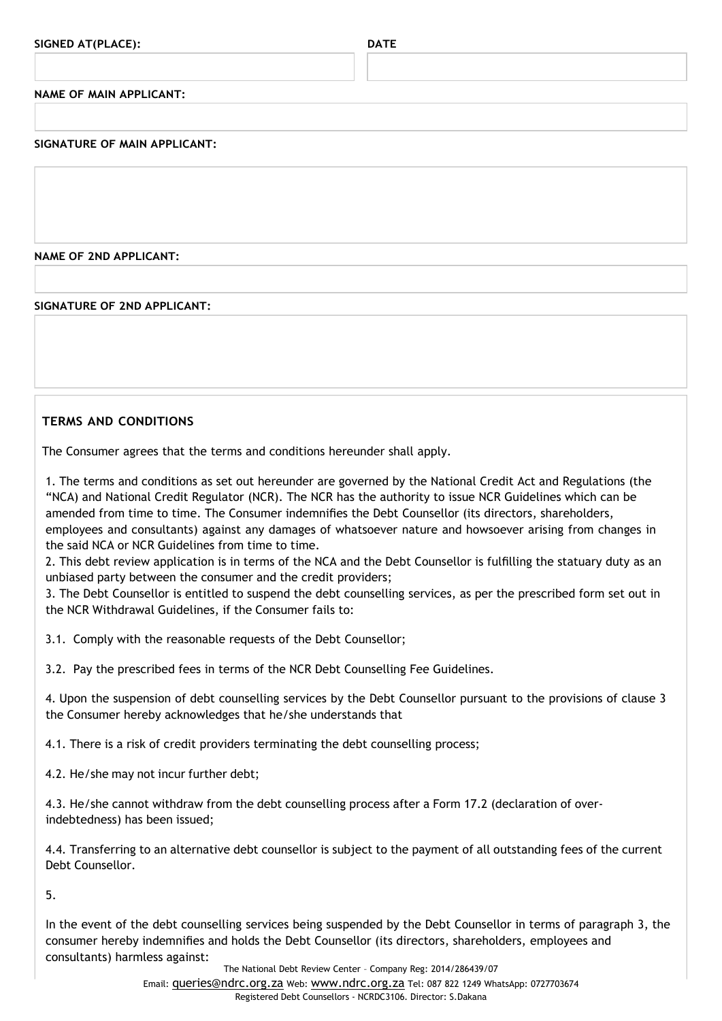**NAME OF MAIN APPLICANT:**

**SIGNATURE OF MAIN APPLICANT:**

**NAME OF 2ND APPLICANT:**

**SIGNATURE OF 2ND APPLICANT:**

## **TERMS AND CONDITIONS**

The Consumer agrees that the terms and conditions hereunder shall apply.

1. The terms and conditions as set out hereunder are governed by the National Credit Act and Regulations (the "NCA) and National Credit Regulator (NCR). The NCR has the authority to issue NCR Guidelines which can be amended from time to time. The Consumer indemnifies the Debt Counsellor (its directors, shareholders, employees and consultants) against any damages of whatsoever nature and howsoever arising from changes in the said NCA or NCR Guidelines from time to time.

2. This debt review application is in terms of the NCA and the Debt Counsellor is fulfilling the statuary duty as an unbiased party between the consumer and the credit providers;

3. The Debt Counsellor is entitled to suspend the debt counselling services, as per the prescribed form set out in the NCR Withdrawal Guidelines, if the Consumer fails to:

3.1. Comply with the reasonable requests of the Debt Counsellor;

3.2. Pay the prescribed fees in terms of the NCR Debt Counselling Fee Guidelines.

4. Upon the suspension of debt counselling services by the Debt Counsellor pursuant to the provisions of clause 3 the Consumer hereby acknowledges that he/she understands that

4.1. There is a risk of credit providers terminating the debt counselling process;

4.2. He/she may not incur further debt;

4.3. He/she cannot withdraw from the debt counselling process after a Form 17.2 (declaration of overindebtedness) has been issued;

4.4. Transferring to an alternative debt counsellor is subject to the payment of all outstanding fees of the current Debt Counsellor.

5.

In the event of the debt counselling services being suspended by the Debt Counsellor in terms of paragraph 3, the consumer hereby indemnifies and holds the Debt Counsellor (its directors, shareholders, employees and consultants) harmless against:

The National Debt Review Center – Company Reg: 2014/286439/07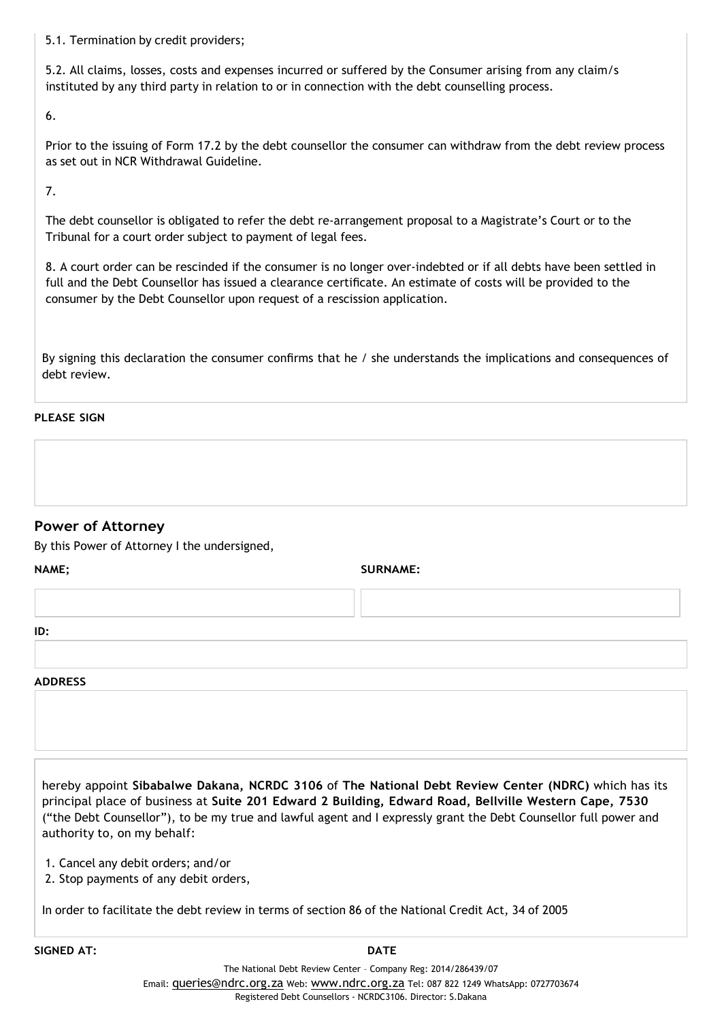5.1. Termination by credit providers;

5.2. All claims, losses, costs and expenses incurred or suffered by the Consumer arising from any claim/s instituted by any third party in relation to or in connection with the debt counselling process.

6.

Prior to the issuing of Form 17.2 by the debt counsellor the consumer can withdraw from the debt review process as set out in NCR Withdrawal Guideline.

7.

The debt counsellor is obligated to refer the debt re-arrangement proposal to a Magistrate's Court or to the Tribunal for a court order subject to payment of legal fees.

8. A court order can be rescinded if the consumer is no longer over-indebted or if all debts have been settled in full and the Debt Counsellor has issued a clearance certificate. An estimate of costs will be provided to the consumer by the Debt Counsellor upon request of a rescission application.

By signing this declaration the consumer confirms that he / she understands the implications and consequences of debt review.

## **PLEASE SIGN**

## **Power of Attorney**

By this Power of Attorney I the undersigned,

**NAME; SURNAME:**

**ID:**

### **ADDRESS**

hereby appoint **Sibabalwe Dakana, NCRDC 3106** of **The National Debt Review Center (NDRC)** which has its principal place of business at **Suite 201 Edward 2 Building, Edward Road, Bellville Western Cape, 7530** ("the Debt Counsellor"), to be my true and lawful agent and I expressly grant the Debt Counsellor full power and authority to, on my behalf:

1. Cancel any debit orders; and/or

2. Stop payments of any debit orders,

In order to facilitate the debt review in terms of section 86 of the National Credit Act, 34 of 2005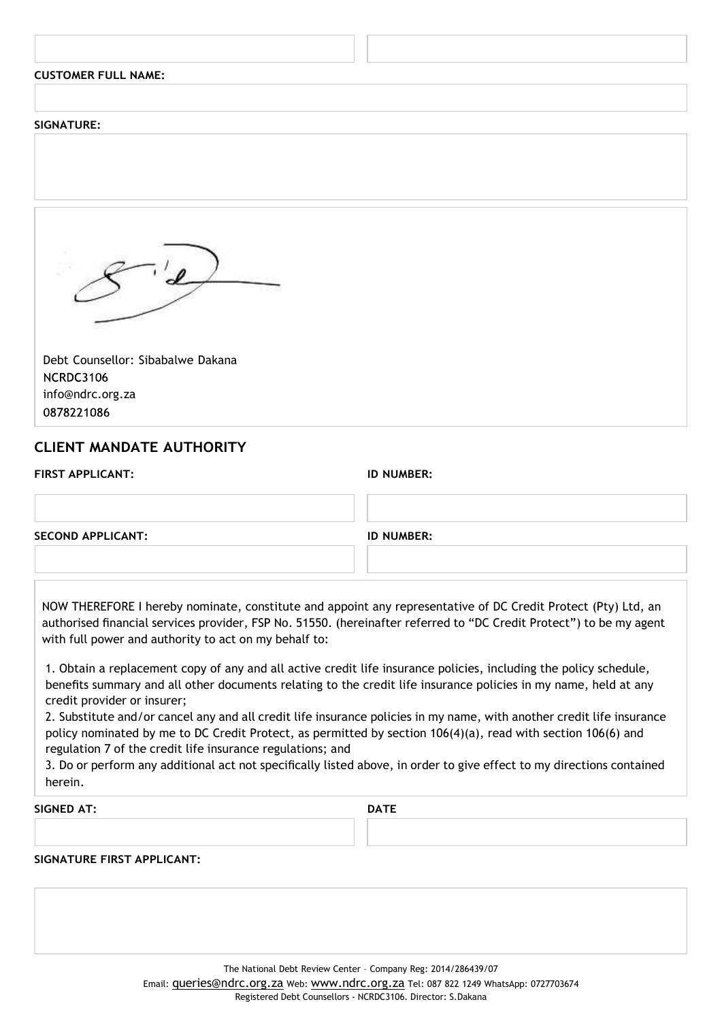| <b>CUSTOMER FULL NAME:</b>        |  |
|-----------------------------------|--|
|                                   |  |
| <b>SIGNATURE:</b>                 |  |
|                                   |  |
|                                   |  |
|                                   |  |
|                                   |  |
| Debt Counsellor: Sibabalwe Dakana |  |
| NCRDC3106                         |  |
| info@ndrc.org.za<br>0878221086    |  |
|                                   |  |

## **CLIENT MANDATE AUTHORITY**

**ID NUMBER:** 

| <b>SECOND APPLICANT:</b> | <b>ID NUMBER:</b> |  |
|--------------------------|-------------------|--|
|                          |                   |  |

NOW THEREFORE I hereby nominate, constitute and appoint any representative of DC Credit Protect (Pty) Ltd, an authorised financial services provider, FSP No. 51550. (hereinafter referred to "DC Credit Protect") to be my agent with full power and authority to act on my behalf to:

1. Obtain a replacement copy of any and all active credit life insurance policies, including the policy schedule, benefits summary and all other documents relating to the credit life insurance policies in my name, held at any credit provider or insurer;

2. Substitute and/or cancel any and all credit life insurance policies in my name, with another credit life insurance policy nominated by me to DC Credit Protect, as permitted by section 106(4)(a), read with section 106(6) and regulation 7 of the credit life insurance regulations; and

3. Do or perform any additional act not specifically listed above, in order to give effect to my directions contained herein.

**SIGNED AT: DATE**

### **SIGNATURE FIRST APPLICANT:**